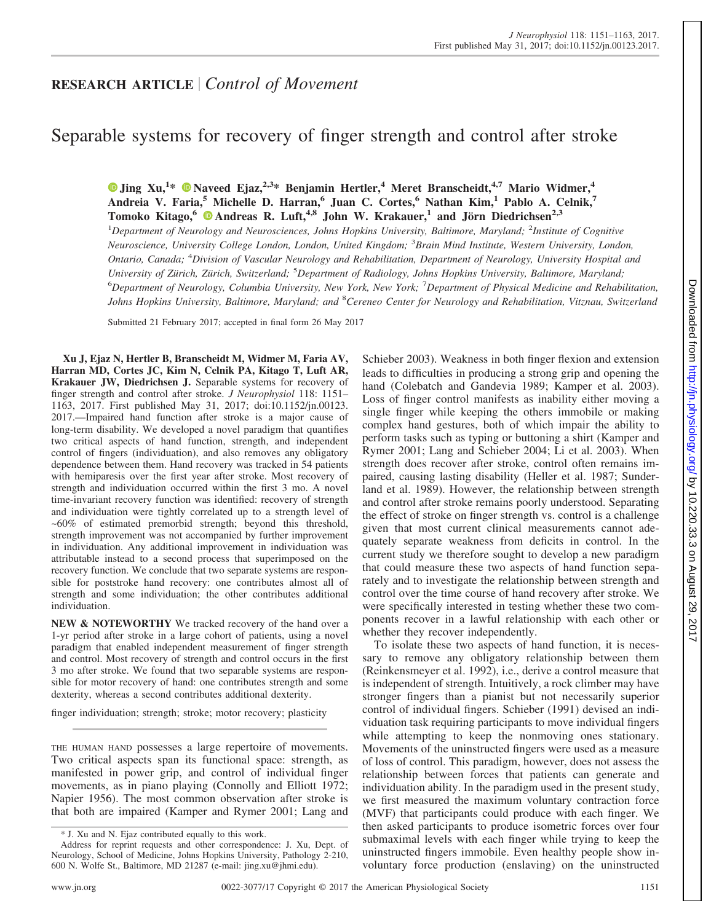## **RESEARCH ARTICLE** *Control of Movement*

# Separable systems for recovery of finger strength and control after stroke

**X [Jing Xu,](http://orcid.org/0000-0003-0388-5046)<sup>1</sup> \* X [Naveed Ejaz,](http://orcid.org/0000-0001-8370-4588)2,3\* Benjamin Hertler,4 Meret Branscheidt,4,7 Mario Widmer,<sup>4</sup> Andreia V. Faria,<sup>5</sup> Michelle D. Harran,<sup>6</sup> Juan C. Cortes,<sup>6</sup> Nathan Kim,<sup>1</sup> Pablo A. Celnik,<sup>7</sup> Tomoko Kitago,**<sup>6</sup>  $\bullet$  **Andreas R. Luft**,<sup>4,8</sup> **John W. Krakauer**,<sup>1</sup> **and Jörn Diedrichsen**<sup>2,3</sup> <sup>1</sup>Department of Neurology and Neurosciences, Johns Hopkins University, Baltimore, Maryland; <sup>2</sup>Institute of Cognitive *Neuroscience, University College London, London, United Kingdom;* <sup>3</sup> *Brain Mind Institute, Western University, London, Ontario, Canada;* <sup>4</sup> *Division of Vascular Neurology and Rehabilitation, Department of Neurology, University Hospital and University of Zürich, Zürich, Switzerland;* <sup>5</sup> *Department of Radiology, Johns Hopkins University, Baltimore, Maryland;* 6 *Department of Neurology, Columbia University, New York, New York;* <sup>7</sup> *Department of Physical Medicine and Rehabilitation, Johns Hopkins University, Baltimore, Maryland; and* <sup>8</sup> *Cereneo Center for Neurology and Rehabilitation, Vitznau, Switzerland*

Submitted 21 February 2017; accepted in final form 26 May 2017

**Xu J, Ejaz N, Hertler B, Branscheidt M, Widmer M, Faria AV, Harran MD, Cortes JC, Kim N, Celnik PA, Kitago T, Luft AR, Krakauer JW, Diedrichsen J.** Separable systems for recovery of finger strength and control after stroke. *J Neurophysiol* 118: 1151– 1163, 2017. First published May 31, 2017; doi[:10.1152/jn.00123.](http://doi.org/10.1152/jn.00123.2017.) [2017.](http://doi.org/10.1152/jn.00123.2017.)—Impaired hand function after stroke is a major cause of long-term disability. We developed a novel paradigm that quantifies two critical aspects of hand function, strength, and independent control of fingers (individuation), and also removes any obligatory dependence between them. Hand recovery was tracked in 54 patients with hemiparesis over the first year after stroke. Most recovery of strength and individuation occurred within the first 3 mo. A novel time-invariant recovery function was identified: recovery of strength and individuation were tightly correlated up to a strength level of ~60% of estimated premorbid strength; beyond this threshold, strength improvement was not accompanied by further improvement in individuation. Any additional improvement in individuation was attributable instead to a second process that superimposed on the recovery function. We conclude that two separate systems are responsible for poststroke hand recovery: one contributes almost all of strength and some individuation; the other contributes additional individuation.

**NEW & NOTEWORTHY** We tracked recovery of the hand over a 1-yr period after stroke in a large cohort of patients, using a novel paradigm that enabled independent measurement of finger strength and control. Most recovery of strength and control occurs in the first 3 mo after stroke. We found that two separable systems are responsible for motor recovery of hand: one contributes strength and some dexterity, whereas a second contributes additional dexterity.

finger individuation; strength; stroke; motor recovery; plasticity

THE HUMAN HAND possesses a large repertoire of movements. Two critical aspects span its functional space: strength, as manifested in power grip, and control of individual finger movements, as in piano playing (Connolly and Elliott 1972; Napier 1956). The most common observation after stroke is that both are impaired (Kamper and Rymer 2001; Lang and

Schieber 2003). Weakness in both finger flexion and extension leads to difficulties in producing a strong grip and opening the hand (Colebatch and Gandevia 1989; Kamper et al. 2003). Loss of finger control manifests as inability either moving a single finger while keeping the others immobile or making complex hand gestures, both of which impair the ability to perform tasks such as typing or buttoning a shirt (Kamper and Rymer 2001; Lang and Schieber 2004; Li et al. 2003). When strength does recover after stroke, control often remains impaired, causing lasting disability (Heller et al. 1987; Sunderland et al. 1989). However, the relationship between strength and control after stroke remains poorly understood. Separating the effect of stroke on finger strength vs. control is a challenge given that most current clinical measurements cannot adequately separate weakness from deficits in control. In the current study we therefore sought to develop a new paradigm that could measure these two aspects of hand function separately and to investigate the relationship between strength and control over the time course of hand recovery after stroke. We were specifically interested in testing whether these two components recover in a lawful relationship with each other or whether they recover independently.

To isolate these two aspects of hand function, it is necessary to remove any obligatory relationship between them (Reinkensmeyer et al. 1992), i.e., derive a control measure that is independent of strength. Intuitively, a rock climber may have stronger fingers than a pianist but not necessarily superior control of individual fingers. Schieber (1991) devised an individuation task requiring participants to move individual fingers while attempting to keep the nonmoving ones stationary. Movements of the uninstructed fingers were used as a measure of loss of control. This paradigm, however, does not assess the relationship between forces that patients can generate and individuation ability. In the paradigm used in the present study, we first measured the maximum voluntary contraction force (MVF) that participants could produce with each finger. We then asked participants to produce isometric forces over four submaximal levels with each finger while trying to keep the uninstructed fingers immobile. Even healthy people show involuntary force production (enslaving) on the uninstructed

<sup>\*</sup> J. Xu and N. Ejaz contributed equally to this work.

Address for reprint requests and other correspondence: J. Xu, Dept. of Neurology, School of Medicine, Johns Hopkins University, Pathology 2-210, 600 N. Wolfe St., Baltimore, MD 21287 (e-mail: [jing.xu@jhmi.edu\)](mailto:jing.xu@jhmi.edu).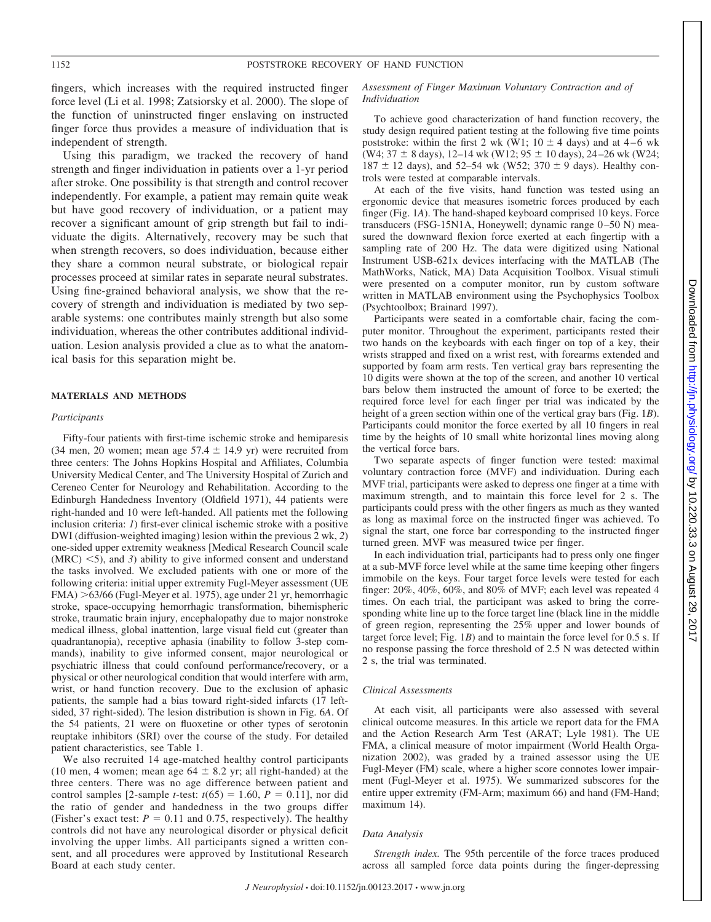fingers, which increases with the required instructed finger force level (Li et al. 1998; Zatsiorsky et al. 2000). The slope of the function of uninstructed finger enslaving on instructed finger force thus provides a measure of individuation that is independent of strength.

Using this paradigm, we tracked the recovery of hand strength and finger individuation in patients over a 1-yr period after stroke. One possibility is that strength and control recover independently. For example, a patient may remain quite weak but have good recovery of individuation, or a patient may recover a significant amount of grip strength but fail to individuate the digits. Alternatively, recovery may be such that when strength recovers, so does individuation, because either they share a common neural substrate, or biological repair processes proceed at similar rates in separate neural substrates. Using fine-grained behavioral analysis, we show that the recovery of strength and individuation is mediated by two separable systems: one contributes mainly strength but also some individuation, whereas the other contributes additional individuation. Lesion analysis provided a clue as to what the anatomical basis for this separation might be.

## **MATERIALS AND METHODS**

#### *Participants*

Fifty-four patients with first-time ischemic stroke and hemiparesis  $(34 \text{ men}, 20 \text{ women}; \text{ mean age } 57.4 \pm 14.9 \text{ yr})$  were recruited from three centers: The Johns Hopkins Hospital and Affiliates, Columbia University Medical Center, and The University Hospital of Zurich and Cereneo Center for Neurology and Rehabilitation. According to the Edinburgh Handedness Inventory (Oldfield 1971), 44 patients were right-handed and 10 were left-handed. All patients met the following inclusion criteria: *1*) first-ever clinical ischemic stroke with a positive DWI (diffusion-weighted imaging) lesion within the previous 2 wk, *2*) one-sided upper extremity weakness [Medical Research Council scale  $(MRC)$   $\leq$ 5), and 3) ability to give informed consent and understand the tasks involved. We excluded patients with one or more of the following criteria: initial upper extremity Fugl-Meyer assessment (UE FMA) >63/66 (Fugl-Meyer et al. 1975), age under 21 yr, hemorrhagic stroke, space-occupying hemorrhagic transformation, bihemispheric stroke, traumatic brain injury, encephalopathy due to major nonstroke medical illness, global inattention, large visual field cut (greater than quadrantanopia), receptive aphasia (inability to follow 3-step commands), inability to give informed consent, major neurological or psychiatric illness that could confound performance/recovery, or a physical or other neurological condition that would interfere with arm, wrist, or hand function recovery. Due to the exclusion of aphasic patients, the sample had a bias toward right-sided infarcts (17 leftsided, 37 right-sided). The lesion distribution is shown in Fig. 6*A*. Of the 54 patients, 21 were on fluoxetine or other types of serotonin reuptake inhibitors (SRI) over the course of the study. For detailed patient characteristics, see Table 1.

We also recruited 14 age-matched healthy control participants (10 men, 4 women; mean age  $64 \pm 8.2$  yr; all right-handed) at the three centers. There was no age difference between patient and control samples [2-sample *t*-test:  $t(65) = 1.60$ ,  $P = 0.11$ ], nor did the ratio of gender and handedness in the two groups differ (Fisher's exact test:  $P = 0.11$  and 0.75, respectively). The healthy controls did not have any neurological disorder or physical deficit involving the upper limbs. All participants signed a written consent, and all procedures were approved by Institutional Research Board at each study center.

#### *Assessment of Finger Maximum Voluntary Contraction and of Individuation*

To achieve good characterization of hand function recovery, the study design required patient testing at the following five time points poststroke: within the first 2 wk (W1;  $10 \pm 4$  days) and at  $4-6$  wk (W4;  $37 \pm 8$  days),  $12-14$  wk (W12;  $95 \pm 10$  days),  $24-26$  wk (W24;  $187 \pm 12$  days), and 52–54 wk (W52; 370  $\pm$  9 days). Healthy controls were tested at comparable intervals.

At each of the five visits, hand function was tested using an ergonomic device that measures isometric forces produced by each finger (Fig. 1*A*). The hand-shaped keyboard comprised 10 keys. Force transducers (FSG-15N1A, Honeywell; dynamic range 0-50 N) measured the downward flexion force exerted at each fingertip with a sampling rate of 200 Hz. The data were digitized using National Instrument USB-621x devices interfacing with the MATLAB (The MathWorks, Natick, MA) Data Acquisition Toolbox. Visual stimuli were presented on a computer monitor, run by custom software written in MATLAB environment using the Psychophysics Toolbox (Psychtoolbox; Brainard 1997).

Participants were seated in a comfortable chair, facing the computer monitor. Throughout the experiment, participants rested their two hands on the keyboards with each finger on top of a key, their wrists strapped and fixed on a wrist rest, with forearms extended and supported by foam arm rests. Ten vertical gray bars representing the 10 digits were shown at the top of the screen, and another 10 vertical bars below them instructed the amount of force to be exerted; the required force level for each finger per trial was indicated by the height of a green section within one of the vertical gray bars (Fig. 1*B*). Participants could monitor the force exerted by all 10 fingers in real time by the heights of 10 small white horizontal lines moving along the vertical force bars.

Two separate aspects of finger function were tested: maximal voluntary contraction force (MVF) and individuation. During each MVF trial, participants were asked to depress one finger at a time with maximum strength, and to maintain this force level for 2 s. The participants could press with the other fingers as much as they wanted as long as maximal force on the instructed finger was achieved. To signal the start, one force bar corresponding to the instructed finger turned green. MVF was measured twice per finger.

In each individuation trial, participants had to press only one finger at a sub-MVF force level while at the same time keeping other fingers immobile on the keys. Four target force levels were tested for each finger: 20%, 40%, 60%, and 80% of MVF; each level was repeated 4 times. On each trial, the participant was asked to bring the corresponding white line up to the force target line (black line in the middle of green region, representing the 25% upper and lower bounds of target force level; Fig. 1*B*) and to maintain the force level for 0.5 s. If no response passing the force threshold of 2.5 N was detected within 2 s, the trial was terminated.

## *Clinical Assessments*

At each visit, all participants were also assessed with several clinical outcome measures. In this article we report data for the FMA and the Action Research Arm Test (ARAT; Lyle 1981). The UE FMA, a clinical measure of motor impairment (World Health Organization 2002), was graded by a trained assessor using the UE Fugl-Meyer (FM) scale, where a higher score connotes lower impairment (Fugl-Meyer et al. 1975). We summarized subscores for the entire upper extremity (FM-Arm; maximum 66) and hand (FM-Hand; maximum 14).

#### *Data Analysis*

*Strength index.* The 95th percentile of the force traces produced across all sampled force data points during the finger-depressing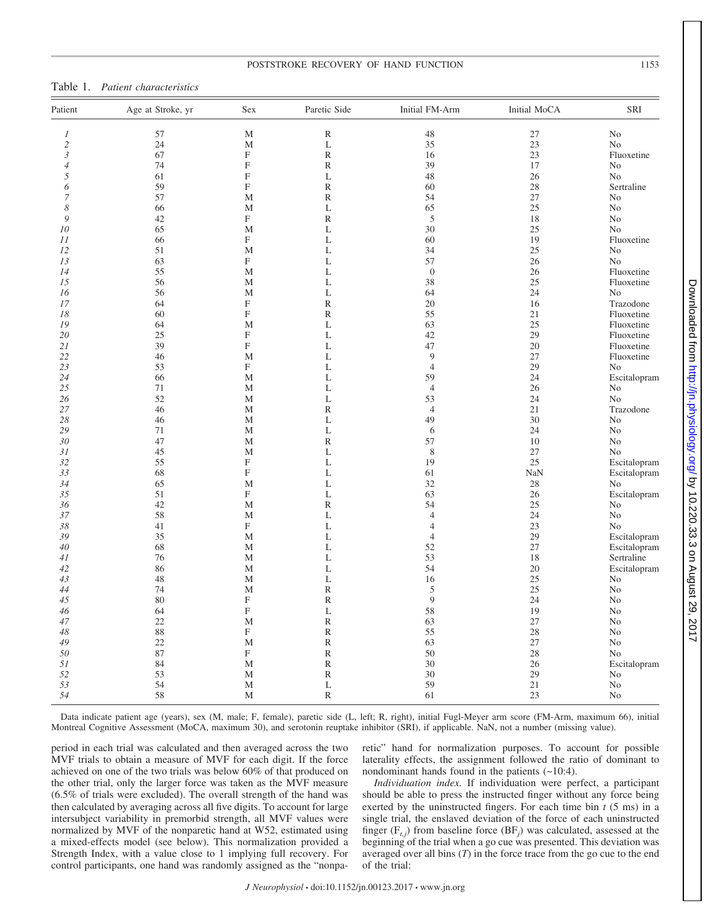## POSTSTROKE RECOVERY OF HAND FUNCTION 1153

## Table 1. *Patient characteristics*

| Patient        | Age at Stroke, yr | Sex                       | Paretic Side  | Initial FM-Arm | Initial MoCA | SRI            |
|----------------|-------------------|---------------------------|---------------|----------------|--------------|----------------|
| 1              | 57                | $\mathbf M$               | ${\mathbb R}$ | 48             | 27           | $\rm No$       |
| $\overline{c}$ | 24                | $\mathbf M$               | L             | 35             | 23           | N <sub>o</sub> |
| $\mathfrak z$  | 67                | $\mathbf F$               | ${\mathbb R}$ | 16             | 23           | Fluoxetine     |
| $\overline{4}$ | 74                | $\mathbf F$               | ${\mathbb R}$ | 39             | 17           | N <sub>o</sub> |
| 5              | 61                | $\mathbf F$               | L             | 48             | 26           | N <sub>o</sub> |
| 6              | 59                | $\mathbf F$               | $\mathbb R$   | 60             | 28           | Sertraline     |
| 7              | 57                | M                         | ${\mathbb R}$ | 54             | 27           | N <sub>o</sub> |
| 8              | 66                | M                         | L             | 65             | 25           | N <sub>0</sub> |
| 9              | 42                | $\mathbf F$               | $\mathbb R$   | $\mathfrak s$  | 18           | N <sub>0</sub> |
| $10\,$         | 65                | $\mathbf M$               | L             | 30             | 25           | N <sub>o</sub> |
|                |                   |                           |               |                |              |                |
| 11             | 66                | $\mathbf F$               | L             | 60             | 19           | Fluoxetine     |
| 12             | 51                | M                         | L             | 34             | 25           | N <sub>o</sub> |
| 13             | 63                | $\mathbf F$               | L             | 57             | 26           | N <sub>o</sub> |
| 14             | 55                | M                         | L             | $\theta$       | 26           | Fluoxetine     |
| 15             | 56                | $\mathbf M$               | L             | 38             | 25           | Fluoxetine     |
| 16             | 56                | $\mathbf M$               | L             | 64             | 24           | No             |
| 17             | 64                | $\mathbf F$               | ${\mathbb R}$ | 20             | 16           | Trazodone      |
| 18             | 60                | $\rm F$                   | $\mathbb R$   | 55             | 21           | Fluoxetine     |
| 19             | 64                | M                         | L             | 63             | 25           | Fluoxetine     |
| 20             | 25                | $\mathbf F$               | L             | 42             | 29           | Fluoxetine     |
| 21             | 39                | $\mathbf F$               | L             | 47             | 20           | Fluoxetine     |
| 22             | 46                | M                         | L             | $\overline{9}$ | 27           | Fluoxetine     |
| 23             | 53                | $\boldsymbol{\mathrm{F}}$ | L             | $\overline{4}$ | 29           | No             |
| 24             | 66                | $\mathbf M$               | L             | 59             | 24           | Escitalopram   |
| 25             | 71                | M                         | L             | $\overline{4}$ | 26           | No             |
| 26             | 52                | M                         | L             | 53             | 24           | N <sub>o</sub> |
|                |                   |                           |               |                |              |                |
| 27             | 46                | M                         | $\mathbb R$   | $\overline{4}$ | 21           | Trazodone      |
| 28             | 46                | M                         | L             | 49             | 30           | N <sub>o</sub> |
| 29             | 71                | $\mathbf M$               | L             | 6              | 24           | N <sub>o</sub> |
| 30             | 47                | $\mathbf M$               | ${\mathbb R}$ | 57             | 10           | $\rm No$       |
| 31             | 45                | $\mathbf{M}$              | L             | 8              | 27           | N <sub>o</sub> |
| 32             | 55                | $\mathbf F$               | L             | 19             | 25           | Escitalopram   |
| 33             | 68                | $\mathbf F$               | L             | 61             | NaN          | Escitalopram   |
| 34             | 65                | M                         | L             | 32             | 28           | No             |
| 35             | 51                | $\mathbf F$               | L             | 63             | 26           | Escitalopram   |
| 36             | 42                | M                         | ${\mathbb R}$ | 54             | 25           | No             |
| 37             | 58                | $\mathbf M$               | L             | $\overline{4}$ | 24           | $\rm No$       |
| 38             | 41                | $\mathbf F$               | L             | $\overline{4}$ | 23           | N <sub>o</sub> |
| 39             | 35                | M                         | L             | $\overline{4}$ | 29           | Escitalopram   |
| 40             | 68                | M                         | L             | 52             | 27           | Escitalopram   |
| 41             | 76                | M                         | L             | 53             | 18           | Sertraline     |
|                | 86                | M                         | L             | 54             | $20\,$       |                |
| 42             |                   |                           |               |                |              | Escitalopram   |
| 43             | 48                | $\mathbf M$               | L             | 16             | 25           | No             |
| 44             | 74                | $\mathbf M$               | ${\mathbb R}$ | $\mathfrak s$  | 25           | N <sub>o</sub> |
| 45             | 80                | $\mathbf F$               | $\mathbb R$   | 9              | 24           | N <sub>o</sub> |
| 46             | 64                | $\rm F$                   | L             | 58             | 19           | N <sub>o</sub> |
| 47             | 22                | M                         | ${\mathbb R}$ | 63             | 27           | No             |
| 48             | 88                | $\mathbf F$               | $\mathbb R$   | 55             | 28           | N <sub>o</sub> |
| 49             | 22                | $\mathbf M$               | ${\mathbb R}$ | 63             | 27           | N <sub>0</sub> |
| 50             | 87                | $\mathbf F$               | ${\mathbb R}$ | 50             | 28           | No             |
| 51             | 84                | $\mathbf M$               | ${\mathbb R}$ | 30             | 26           | Escitalopram   |
| 52             | 53                | $\mathbf{M}$              | ${\mathbb R}$ | 30             | 29           | N <sub>0</sub> |
| 53             | 54                | M                         | L             | 59             | 21           | N <sub>0</sub> |
| 54             | 58                | M                         | ${\mathbb R}$ | 61             | 23           | N <sub>0</sub> |
|                |                   |                           |               |                |              |                |

Data indicate patient age (years), sex (M, male; F, female), paretic side (L, left; R, right), initial Fugl-Meyer arm score (FM-Arm, maximum 66), initial Montreal Cognitive Assessment (MoCA, maximum 30), and serotonin reuptake inhibitor (SRI), if applicable. NaN, not a number (missing value).

period in each trial was calculated and then averaged across the two MVF trials to obtain a measure of MVF for each digit. If the force achieved on one of the two trials was below 60% of that produced on the other trial, only the larger force was taken as the MVF measure (6.5% of trials were excluded). The overall strength of the hand was then calculated by averaging across all five digits. To account for large intersubject variability in premorbid strength, all MVF values were normalized by MVF of the nonparetic hand at W52, estimated using a mixed-effects model (see below). This normalization provided a Strength Index, with a value close to 1 implying full recovery. For control participants, one hand was randomly assigned as the "nonparetic" hand for normalization purposes. To account for possible laterality effects, the assignment followed the ratio of dominant to nondominant hands found in the patients (~10:4).

*Individuation index.* If individuation were perfect, a participant should be able to press the instructed finger without any force being exerted by the uninstructed fingers. For each time bin *t* (5 ms) in a single trial, the enslaved deviation of the force of each uninstructed finger  $(F_{t,j})$  from baseline force  $(BF_j)$  was calculated, assessed at the beginning of the trial when a go cue was presented. This deviation was averaged over all bins (*T*) in the force trace from the go cue to the end of the trial: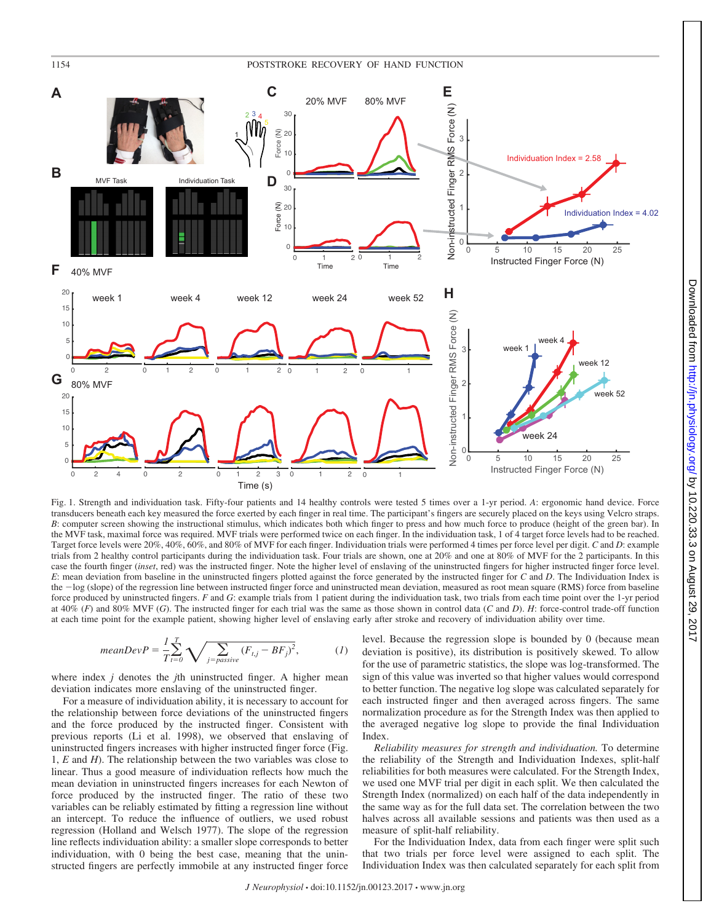## 1154 POSTSTROKE RECOVERY OF HAND FUNCTION



Fig. 1. Strength and individuation task. Fifty-four patients and 14 healthy controls were tested 5 times over a 1-yr period. *A*: ergonomic hand device. Force transducers beneath each key measured the force exerted by each finger in real time. The participant's fingers are securely placed on the keys using Velcro straps. *B*: computer screen showing the instructional stimulus, which indicates both which finger to press and how much force to produce (height of the green bar). In the MVF task, maximal force was required. MVF trials were performed twice on each finger. In the individuation task, 1 of 4 target force levels had to be reached. Target force levels were 20%, 40%, 60%, and 80% of MVF for each finger. Individuation trials were performed 4 times per force level per digit. *C* and *D*: example trials from 2 healthy control participants during the individuation task. Four trials are shown, one at 20% and one at 80% of MVF for the 2 participants. In this case the fourth finger (*inset*, red) was the instructed finger. Note the higher level of enslaving of the uninstructed fingers for higher instructed finger force level. *E*: mean deviation from baseline in the uninstructed fingers plotted against the force generated by the instructed finger for *C* and *D*. The Individuation Index is the  $-\log$  (slope) of the regression line between instructed finger force and uninstructed mean deviation, measured as root mean square (RMS) force from baseline force produced by uninstructed fingers. *F* and *G*: example trials from 1 patient during the individuation task, two trials from each time point over the 1-yr period at 40% (*F*) and 80% MVF (*G*). The instructed finger for each trial was the same as those shown in control data (*C* and *D*). *H*: force-control trade-off function at each time point for the example patient, showing higher level of enslaving early after stroke and recovery of individuation ability over time.

$$
meanDevP = \frac{1}{T} \sum_{t=0}^{T} \sqrt{\sum_{j=passive} (F_{t,j} - BF_j)^2},
$$
 (1)

where index *j* denotes the *j*th uninstructed finger. A higher mean deviation indicates more enslaving of the uninstructed finger.

For a measure of individuation ability, it is necessary to account for the relationship between force deviations of the uninstructed fingers and the force produced by the instructed finger. Consistent with previous reports (Li et al. 1998), we observed that enslaving of uninstructed fingers increases with higher instructed finger force (Fig. 1, *E* and *H*). The relationship between the two variables was close to linear. Thus a good measure of individuation reflects how much the mean deviation in uninstructed fingers increases for each Newton of force produced by the instructed finger. The ratio of these two variables can be reliably estimated by fitting a regression line without an intercept. To reduce the influence of outliers, we used robust regression (Holland and Welsch 1977). The slope of the regression line reflects individuation ability: a smaller slope corresponds to better individuation, with 0 being the best case, meaning that the uninstructed fingers are perfectly immobile at any instructed finger force level. Because the regression slope is bounded by 0 (because mean deviation is positive), its distribution is positively skewed. To allow for the use of parametric statistics, the slope was log-transformed. The sign of this value was inverted so that higher values would correspond to better function. The negative log slope was calculated separately for each instructed finger and then averaged across fingers. The same normalization procedure as for the Strength Index was then applied to the averaged negative log slope to provide the final Individuation Index.

*Reliability measures for strength and individuation.* To determine the reliability of the Strength and Individuation Indexes, split-half reliabilities for both measures were calculated. For the Strength Index, we used one MVF trial per digit in each split. We then calculated the Strength Index (normalized) on each half of the data independently in the same way as for the full data set. The correlation between the two halves across all available sessions and patients was then used as a measure of split-half reliability.

For the Individuation Index, data from each finger were split such that two trials per force level were assigned to each split. The Individuation Index was then calculated separately for each split from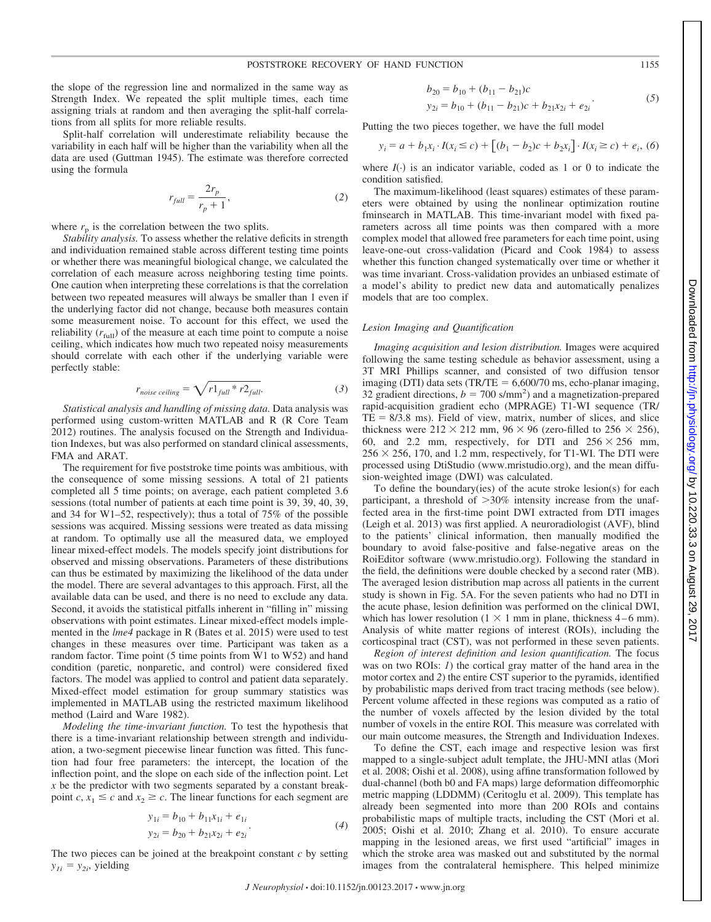the slope of the regression line and normalized in the same way as Strength Index. We repeated the split multiple times, each time assigning trials at random and then averaging the split-half correlations from all splits for more reliable results.

Split-half correlation will underestimate reliability because the variability in each half will be higher than the variability when all the data are used (Guttman 1945). The estimate was therefore corrected using the formula

$$
r_{full} = \frac{2r_p}{r_p + 1},\tag{2}
$$

where  $r_p$  is the correlation between the two splits.

*Stability analysis.* To assess whether the relative deficits in strength and individuation remained stable across different testing time points or whether there was meaningful biological change, we calculated the correlation of each measure across neighboring testing time points. One caution when interpreting these correlations is that the correlation between two repeated measures will always be smaller than 1 even if the underlying factor did not change, because both measures contain some measurement noise. To account for this effect, we used the reliability  $(r_{\text{full}})$  of the measure at each time point to compute a noise ceiling, which indicates how much two repeated noisy measurements should correlate with each other if the underlying variable were perfectly stable:

$$
r_{noise\,ceiling} = \sqrt{r1_{full} * r2_{full}}.
$$
 (3)

*Statistical analysis and handling of missing data.* Data analysis was performed using custom-written MATLAB and R (R Core Team 2012) routines. The analysis focused on the Strength and Individuation Indexes, but was also performed on standard clinical assessments, FMA and ARAT.

The requirement for five poststroke time points was ambitious, with the consequence of some missing sessions. A total of 21 patients completed all 5 time points; on average, each patient completed 3.6 sessions (total number of patients at each time point is 39, 39, 40, 39, and 34 for W1–52, respectively); thus a total of 75% of the possible sessions was acquired. Missing sessions were treated as data missing at random. To optimally use all the measured data, we employed linear mixed-effect models. The models specify joint distributions for observed and missing observations. Parameters of these distributions can thus be estimated by maximizing the likelihood of the data under the model. There are several advantages to this approach. First, all the available data can be used, and there is no need to exclude any data. Second, it avoids the statistical pitfalls inherent in "filling in" missing observations with point estimates. Linear mixed-effect models implemented in the *lme4* package in R (Bates et al. 2015) were used to test changes in these measures over time. Participant was taken as a random factor. Time point (5 time points from W1 to W52) and hand condition (paretic, nonparetic, and control) were considered fixed factors. The model was applied to control and patient data separately. Mixed-effect model estimation for group summary statistics was implemented in MATLAB using the restricted maximum likelihood method (Laird and Ware 1982).

*Modeling the time-invariant function.* To test the hypothesis that there is a time-invariant relationship between strength and individuation, a two-segment piecewise linear function was fitted. This function had four free parameters: the intercept, the location of the inflection point, and the slope on each side of the inflection point. Let *x* be the predictor with two segments separated by a constant breakpoint *c*,  $x_1 \le c$  and  $x_2 \ge c$ . The linear functions for each segment are

$$
y_{1i} = b_{10} + b_{11}x_{1i} + e_{1i}
$$
  
\n
$$
y_{2i} = b_{20} + b_{21}x_{2i} + e_{2i}
$$
 (4)

The two pieces can be joined at the breakpoint constant *c* by setting  $y_{1i} = y_{2i}$ , yielding

$$
b_{20} = b_{10} + (b_{11} - b_{21})c
$$
  
\n
$$
y_{2i} = b_{10} + (b_{11} - b_{21})c + b_{21}x_{2i} + e_{2i}
$$
 (5)

Putting the two pieces together, we have the full model

$$
y_i = a + b_1 x_i \cdot I(x_i \le c) + \left[ (b_1 - b_2)c + b_2 x_i \right] \cdot I(x_i \ge c) + e_i, \ (6)
$$

where  $I(\cdot)$  is an indicator variable, coded as 1 or 0 to indicate the condition satisfied.

The maximum-likelihood (least squares) estimates of these parameters were obtained by using the nonlinear optimization routine fminsearch in MATLAB. This time-invariant model with fixed parameters across all time points was then compared with a more complex model that allowed free parameters for each time point, using leave-one-out cross-validation (Picard and Cook 1984) to assess whether this function changed systematically over time or whether it was time invariant. Cross-validation provides an unbiased estimate of a model's ability to predict new data and automatically penalizes models that are too complex.

#### *Lesion Imaging and Quantification*

*Imaging acquisition and lesion distribution.* Images were acquired following the same testing schedule as behavior assessment, using a 3T MRI Phillips scanner, and consisted of two diffusion tensor imaging (DTI) data sets (TR/TE  $= 6,600/70$  ms, echo-planar imaging, 32 gradient directions,  $b = 700$  s/mm<sup>2</sup>) and a magnetization-prepared rapid-acquisition gradient echo (MPRAGE) T1-WI sequence (TR/  $TE = 8/3.8$  ms). Field of view, matrix, number of slices, and slice thickness were  $212 \times 212$  mm,  $96 \times 96$  (zero-filled to  $256 \times 256$ ), 60, and 2.2 mm, respectively, for DTI and  $256 \times 256$  mm,  $256 \times 256$ , 170, and 1.2 mm, respectively, for T1-WI. The DTI were processed using DtiStudio [\(www.mristudio.org\)](http://www.MRIStudio.org), and the mean diffusion-weighted image (DWI) was calculated.

To define the boundary(ies) of the acute stroke lesion(s) for each participant, a threshold of  $>30\%$  intensity increase from the unaffected area in the first-time point DWI extracted from DTI images (Leigh et al. 2013) was first applied. A neuroradiologist (AVF), blind to the patients' clinical information, then manually modified the boundary to avoid false-positive and false-negative areas on the RoiEditor software [\(www.mristudio.org\)](http://www.mristudio.org). Following the standard in the field, the definitions were double checked by a second rater (MB). The averaged lesion distribution map across all patients in the current study is shown in Fig. 5A. For the seven patients who had no DTI in the acute phase, lesion definition was performed on the clinical DWI, which has lower resolution  $(1 \times 1$  mm in plane, thickness 4–6 mm). Analysis of white matter regions of interest (ROIs), including the corticospinal tract (CST), was not performed in these seven patients.

*Region of interest definition and lesion quantification.* The focus was on two ROIs: *1*) the cortical gray matter of the hand area in the motor cortex and *2*) the entire CST superior to the pyramids, identified by probabilistic maps derived from tract tracing methods (see below). Percent volume affected in these regions was computed as a ratio of the number of voxels affected by the lesion divided by the total number of voxels in the entire ROI. This measure was correlated with our main outcome measures, the Strength and Individuation Indexes.

To define the CST, each image and respective lesion was first mapped to a single-subject adult template, the JHU-MNI atlas (Mori et al. 2008; Oishi et al. 2008), using affine transformation followed by dual-channel (both b0 and FA maps) large deformation diffeomorphic metric mapping (LDDMM) (Ceritoglu et al. 2009). This template has already been segmented into more than 200 ROIs and contains probabilistic maps of multiple tracts, including the CST (Mori et al. 2005; Oishi et al. 2010; Zhang et al. 2010). To ensure accurate mapping in the lesioned areas, we first used "artificial" images in which the stroke area was masked out and substituted by the normal images from the contralateral hemisphere. This helped minimize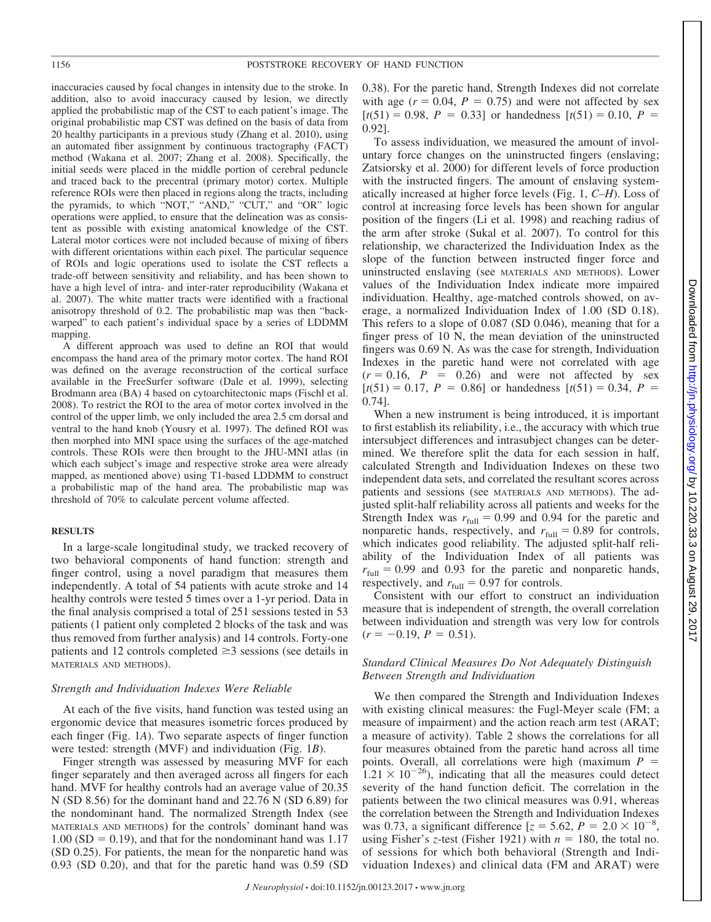inaccuracies caused by focal changes in intensity due to the stroke. In addition, also to avoid inaccuracy caused by lesion, we directly applied the probabilistic map of the CST to each patient's image. The original probabilistic map CST was defined on the basis of data from 20 healthy participants in a previous study (Zhang et al. 2010), using an automated fiber assignment by continuous tractography (FACT) method (Wakana et al. 2007; Zhang et al. 2008). Specifically, the initial seeds were placed in the middle portion of cerebral peduncle and traced back to the precentral (primary motor) cortex. Multiple reference ROIs were then placed in regions along the tracts, including the pyramids, to which "NOT," "AND," "CUT," and "OR" logic operations were applied, to ensure that the delineation was as consistent as possible with existing anatomical knowledge of the CST. Lateral motor cortices were not included because of mixing of fibers with different orientations within each pixel. The particular sequence of ROIs and logic operations used to isolate the CST reflects a trade-off between sensitivity and reliability, and has been shown to have a high level of intra- and inter-rater reproducibility (Wakana et al. 2007). The white matter tracts were identified with a fractional anisotropy threshold of 0.2. The probabilistic map was then "backwarped" to each patient's individual space by a series of LDDMM mapping.

A different approach was used to define an ROI that would encompass the hand area of the primary motor cortex. The hand ROI was defined on the average reconstruction of the cortical surface available in the FreeSurfer software (Dale et al. 1999), selecting Brodmann area (BA) 4 based on cytoarchitectonic maps (Fischl et al. 2008). To restrict the ROI to the area of motor cortex involved in the control of the upper limb, we only included the area 2.5 cm dorsal and ventral to the hand knob (Yousry et al. 1997). The defined ROI was then morphed into MNI space using the surfaces of the age-matched controls. These ROIs were then brought to the JHU-MNI atlas (in which each subject's image and respective stroke area were already mapped, as mentioned above) using T1-based LDDMM to construct a probabilistic map of the hand area. The probabilistic map was threshold of 70% to calculate percent volume affected.

## **RESULTS**

In a large-scale longitudinal study, we tracked recovery of two behavioral components of hand function: strength and finger control, using a novel paradigm that measures them independently. A total of 54 patients with acute stroke and 14 healthy controls were tested 5 times over a 1-yr period. Data in the final analysis comprised a total of 251 sessions tested in 53 patients (1 patient only completed 2 blocks of the task and was thus removed from further analysis) and 14 controls. Forty-one patients and 12 controls completed  $\geq$ 3 sessions (see details in MATERIALS AND METHODS).

#### *Strength and Individuation Indexes Were Reliable*

At each of the five visits, hand function was tested using an ergonomic device that measures isometric forces produced by each finger (Fig. 1*A*). Two separate aspects of finger function were tested: strength (MVF) and individuation (Fig. 1*B*).

Finger strength was assessed by measuring MVF for each finger separately and then averaged across all fingers for each hand. MVF for healthy controls had an average value of 20.35 N (SD 8.56) for the dominant hand and 22.76 N (SD 6.89) for the nondominant hand. The normalized Strength Index (see MATERIALS AND METHODS) for the controls' dominant hand was  $1.00$  (SD = 0.19), and that for the nondominant hand was 1.17 (SD 0.25). For patients, the mean for the nonparetic hand was 0.93 (SD 0.20), and that for the paretic hand was 0.59 (SD 0.38). For the paretic hand, Strength Indexes did not correlate with age  $(r = 0.04, P = 0.75)$  and were not affected by sex  $[t(51) = 0.98, P = 0.33]$  or handedness  $[t(51) = 0.10, P =$ 0.92].

To assess individuation, we measured the amount of involuntary force changes on the uninstructed fingers (enslaving; Zatsiorsky et al. 2000) for different levels of force production with the instructed fingers. The amount of enslaving systematically increased at higher force levels (Fig. 1, *C–H*). Loss of control at increasing force levels has been shown for angular position of the fingers (Li et al. 1998) and reaching radius of the arm after stroke (Sukal et al. 2007). To control for this relationship, we characterized the Individuation Index as the slope of the function between instructed finger force and uninstructed enslaving (see MATERIALS AND METHODS). Lower values of the Individuation Index indicate more impaired individuation. Healthy, age-matched controls showed, on average, a normalized Individuation Index of 1.00 (SD 0.18). This refers to a slope of 0.087 (SD 0.046), meaning that for a finger press of 10 N, the mean deviation of the uninstructed fingers was 0.69 N. As was the case for strength, Individuation Indexes in the paretic hand were not correlated with age  $(r = 0.16, P = 0.26)$  and were not affected by sex  $[t(51) = 0.17, P = 0.86]$  or handedness  $[t(51) = 0.34, P =$ 0.74].

When a new instrument is being introduced, it is important to first establish its reliability, i.e., the accuracy with which true intersubject differences and intrasubject changes can be determined. We therefore split the data for each session in half, calculated Strength and Individuation Indexes on these two independent data sets, and correlated the resultant scores across patients and sessions (see MATERIALS AND METHODS). The adjusted split-half reliability across all patients and weeks for the Strength Index was  $r_{\text{full}} = 0.99$  and 0.94 for the paretic and nonparetic hands, respectively, and  $r_{\text{full}} = 0.89$  for controls, which indicates good reliability. The adjusted split-half reliability of the Individuation Index of all patients was  $r_{\text{full}} = 0.99$  and 0.93 for the paretic and nonparetic hands, respectively, and  $r_{\text{full}} = 0.97$  for controls.

Consistent with our effort to construct an individuation measure that is independent of strength, the overall correlation between individuation and strength was very low for controls  $(r = -0.19, P = 0.51).$ 

## *Standard Clinical Measures Do Not Adequately Distinguish Between Strength and Individuation*

We then compared the Strength and Individuation Indexes with existing clinical measures: the Fugl-Meyer scale (FM; a measure of impairment) and the action reach arm test (ARAT; a measure of activity). Table 2 shows the correlations for all four measures obtained from the paretic hand across all time points. Overall, all correlations were high (maximum *P*  $1.21 \times 10^{-26}$ ), indicating that all the measures could detect severity of the hand function deficit. The correlation in the patients between the two clinical measures was 0.91, whereas the correlation between the Strength and Individuation Indexes was 0.73, a significant difference  $[z = 5.62, P = 2.0 \times 10^{-8},$ using Fisher's *z*-test (Fisher 1921) with  $n = 180$ , the total no. of sessions for which both behavioral (Strength and Individuation Indexes) and clinical data (FM and ARAT) were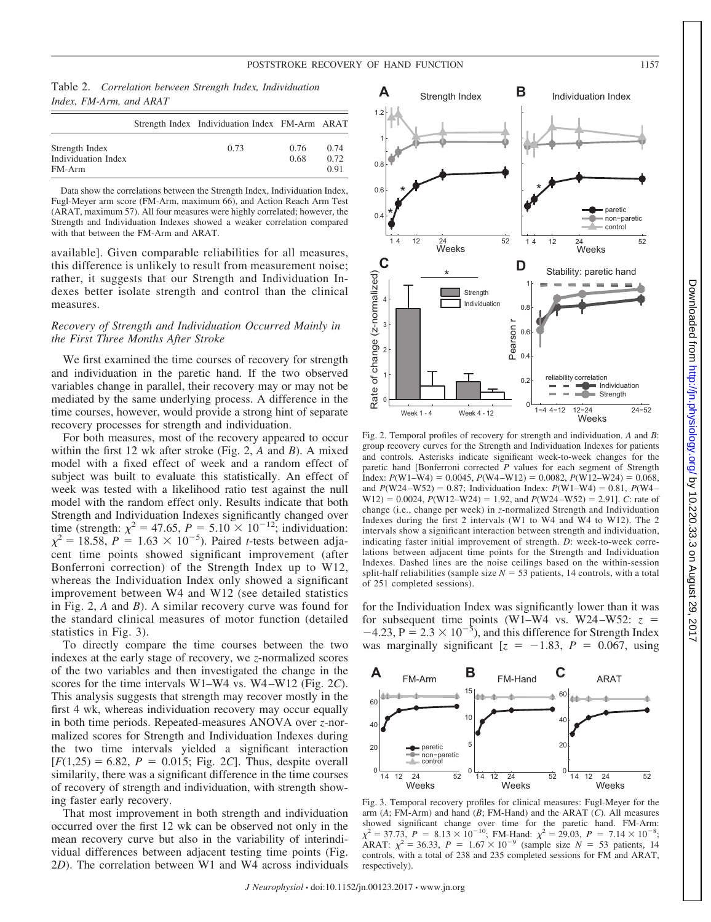Table 2. *Correlation between Strength Index, Individuation Index, FM-Arm, and ARAT*

|                                                 | Strength Index Individuation Index FM-Arm ARAT |              |                      |
|-------------------------------------------------|------------------------------------------------|--------------|----------------------|
| Strength Index<br>Individuation Index<br>FM-Arm | 0.73                                           | 0.76<br>0.68 | 0.74<br>0.72<br>0.91 |

Data show the correlations between the Strength Index, Individuation Index, Fugl-Meyer arm score (FM-Arm, maximum 66), and Action Reach Arm Test (ARAT, maximum 57). All four measures were highly correlated; however, the Strength and Individuation Indexes showed a weaker correlation compared with that between the FM-Arm and ARAT.

available]. Given comparable reliabilities for all measures, this difference is unlikely to result from measurement noise; rather, it suggests that our Strength and Individuation Indexes better isolate strength and control than the clinical measures.

## *Recovery of Strength and Individuation Occurred Mainly in the First Three Months After Stroke*

We first examined the time courses of recovery for strength and individuation in the paretic hand. If the two observed variables change in parallel, their recovery may or may not be mediated by the same underlying process. A difference in the time courses, however, would provide a strong hint of separate recovery processes for strength and individuation.

For both measures, most of the recovery appeared to occur within the first 12 wk after stroke (Fig. 2, *A* and *B*). A mixed model with a fixed effect of week and a random effect of subject was built to evaluate this statistically. An effect of week was tested with a likelihood ratio test against the null model with the random effect only. Results indicate that both Strength and Individuation Indexes significantly changed over time (strength:  $\chi^2 = 47.65$ ,  $P = 5.10 \times 10^{-12}$ ; individuation:  $\chi^2 = 18.58$ ,  $P = 1.63 \times 10^{-5}$ ). Paired *t*-tests between adjacent time points showed significant improvement (after Bonferroni correction) of the Strength Index up to W12, whereas the Individuation Index only showed a significant improvement between W4 and W12 (see detailed statistics in Fig. 2, *A* and *B*). A similar recovery curve was found for the standard clinical measures of motor function (detailed statistics in Fig. 3).

To directly compare the time courses between the two indexes at the early stage of recovery, we *z*-normalized scores of the two variables and then investigated the change in the scores for the time intervals W1–W4 vs. W4 –W12 (Fig. 2*C*). This analysis suggests that strength may recover mostly in the first 4 wk, whereas individuation recovery may occur equally in both time periods. Repeated-measures ANOVA over *z*-normalized scores for Strength and Individuation Indexes during the two time intervals yielded a significant interaction  $[F(1,25) = 6.82, P = 0.015; Fig. 2C]$ . Thus, despite overall similarity, there was a significant difference in the time courses of recovery of strength and individuation, with strength showing faster early recovery.

That most improvement in both strength and individuation occurred over the first 12 wk can be observed not only in the mean recovery curve but also in the variability of interindividual differences between adjacent testing time points (Fig. 2*D*). The correlation between W1 and W4 across individuals



Fig. 2. Temporal profiles of recovery for strength and individuation. *A* and *B*: group recovery curves for the Strength and Individuation Indexes for patients and controls. Asterisks indicate significant week-to-week changes for the paretic hand [Bonferroni corrected *P* values for each segment of Strength Index:  $P(W1-W4) = 0.0045$ ,  $P(W4-W12) = 0.0082$ ,  $P(W12-W24) = 0.068$ , and  $P(W24-W52) = 0.87$ ; Individuation Index:  $P(W1-W4) = 0.81$ ,  $P(W4-W4) = 0.81$  $W12$ ) = 0.0024, *P*(W12–W24) = 1.92, and *P*(W24–W52) = 2.91]. *C*: rate of change (i.e., change per week) in *z*-normalized Strength and Individuation Indexes during the first 2 intervals (W1 to W4 and W4 to W12). The 2 intervals show a significant interaction between strength and individuation, indicating faster initial improvement of strength. *D*: week-to-week correlations between adjacent time points for the Strength and Individuation Indexes. Dashed lines are the noise ceilings based on the within-session split-half reliabilities (sample size  $N = 53$  patients, 14 controls, with a total of 251 completed sessions).

for the Individuation Index was significantly lower than it was for subsequent time points (W1–W4 vs. W24–W52:  $z =$  $-4.23$ ,  $P = 2.3 \times 10^{-5}$ ), and this difference for Strength Index was marginally significant  $z = -1.83$ ,  $P = 0.067$ , using



Fig. 3. Temporal recovery profiles for clinical measures: Fugl-Meyer for the arm (*A*; FM-Arm) and hand (*B*; FM-Hand) and the ARAT (*C*). All measures showed significant change over time for the paretic hand. FM-Arm:<br> $\chi^2 = 37.73$ ,  $P = 8.13 \times 10^{-10}$ ; FM-Hand:  $\chi^2 = 29.03$ ,  $P = 7.14 \times 10^{-8}$ ; ARAT:  $\chi^2 = 36.33$ ,  $P = 1.67 \times 10^{-9}$  (sample size  $N = 53$  patients, 14 controls, with a total of 238 and 235 completed sessions for FM and ARAT, respectively).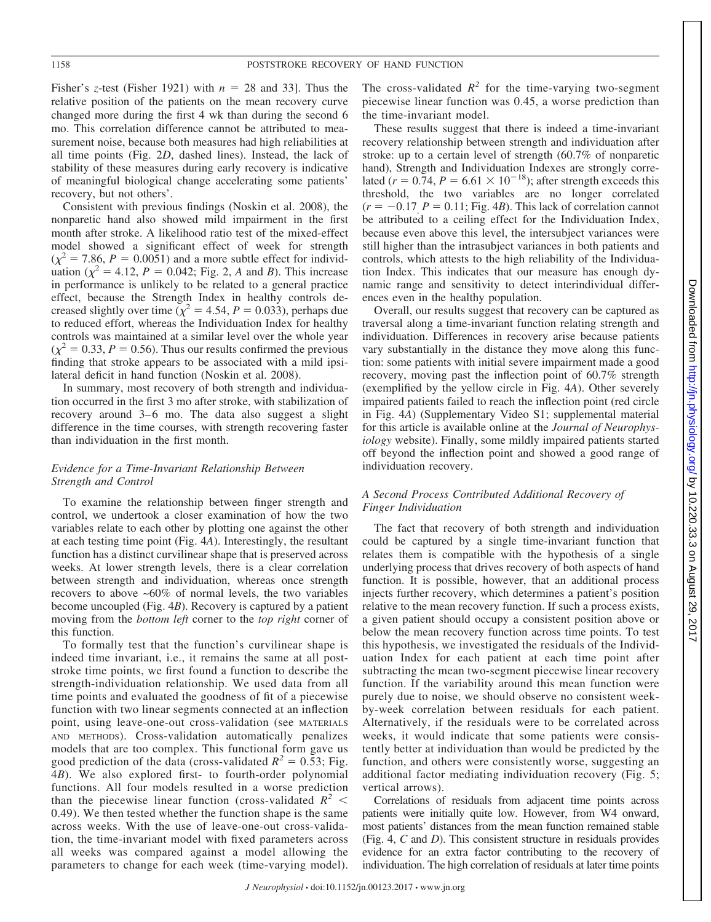Fisher's *z*-test (Fisher 1921) with  $n = 28$  and 33]. Thus the relative position of the patients on the mean recovery curve changed more during the first 4 wk than during the second 6 mo. This correlation difference cannot be attributed to measurement noise, because both measures had high reliabilities at all time points (Fig. 2*D*, dashed lines). Instead, the lack of stability of these measures during early recovery is indicative of meaningful biological change accelerating some patients' recovery, but not others'.

Consistent with previous findings (Noskin et al. 2008), the nonparetic hand also showed mild impairment in the first month after stroke. A likelihood ratio test of the mixed-effect model showed a significant effect of week for strength  $(\chi^2 = 7.86, P = 0.0051)$  and a more subtle effect for individuation ( $\chi^2 = 4.12$ ,  $P = 0.042$ ; Fig. 2, *A* and *B*). This increase in performance is unlikely to be related to a general practice effect, because the Strength Index in healthy controls decreased slightly over time ( $\chi^2 = 4.54$ ,  $P = 0.033$ ), perhaps due to reduced effort, whereas the Individuation Index for healthy controls was maintained at a similar level over the whole year  $(\chi^2 = 0.33, P = 0.56)$ . Thus our results confirmed the previous finding that stroke appears to be associated with a mild ipsilateral deficit in hand function (Noskin et al. 2008).

In summary, most recovery of both strength and individuation occurred in the first 3 mo after stroke, with stabilization of recovery around 3–6 mo. The data also suggest a slight difference in the time courses, with strength recovering faster than individuation in the first month.

## *Evidence for a Time-Invariant Relationship Between Strength and Control*

To examine the relationship between finger strength and control, we undertook a closer examination of how the two variables relate to each other by plotting one against the other at each testing time point (Fig. 4*A*). Interestingly, the resultant function has a distinct curvilinear shape that is preserved across weeks. At lower strength levels, there is a clear correlation between strength and individuation, whereas once strength recovers to above ~60% of normal levels, the two variables become uncoupled (Fig. 4*B*). Recovery is captured by a patient moving from the *bottom left* corner to the *top right* corner of this function.

To formally test that the function's curvilinear shape is indeed time invariant, i.e., it remains the same at all poststroke time points, we first found a function to describe the strength-individuation relationship. We used data from all time points and evaluated the goodness of fit of a piecewise function with two linear segments connected at an inflection point, using leave-one-out cross-validation (see MATERIALS AND METHODS). Cross-validation automatically penalizes models that are too complex. This functional form gave us good prediction of the data (cross-validated  $R^2 = 0.53$ ; Fig. 4*B*). We also explored first- to fourth-order polynomial functions. All four models resulted in a worse prediction than the piecewise linear function (cross-validated  $R^2$  < 0.49). We then tested whether the function shape is the same across weeks. With the use of leave-one-out cross-validation, the time-invariant model with fixed parameters across all weeks was compared against a model allowing the parameters to change for each week (time-varying model).

The cross-validated  $R^2$  for the time-varying two-segment piecewise linear function was 0.45, a worse prediction than the time-invariant model.

These results suggest that there is indeed a time-invariant recovery relationship between strength and individuation after stroke: up to a certain level of strength (60.7% of nonparetic hand), Strength and Individuation Indexes are strongly correlated ( $r = 0.74$ ,  $P = 6.61 \times 10^{-18}$ ); after strength exceeds this threshold, the two variables are no longer correlated  $(r = -0.17, P = 0.11$ ; Fig. 4*B*). This lack of correlation cannot be attributed to a ceiling effect for the Individuation Index, because even above this level, the intersubject variances were still higher than the intrasubject variances in both patients and controls, which attests to the high reliability of the Individuation Index. This indicates that our measure has enough dynamic range and sensitivity to detect interindividual differences even in the healthy population.

Overall, our results suggest that recovery can be captured as traversal along a time-invariant function relating strength and individuation. Differences in recovery arise because patients vary substantially in the distance they move along this function: some patients with initial severe impairment made a good recovery, moving past the inflection point of 60.7% strength (exemplified by the yellow circle in Fig. 4*A*). Other severely impaired patients failed to reach the inflection point (red circle in Fig. 4*A*) (Supplementary Video S1; supplemental material for this article is available online at the *Journal of Neurophysiology* website). Finally, some mildly impaired patients started off beyond the inflection point and showed a good range of individuation recovery.

## *A Second Process Contributed Additional Recovery of Finger Individuation*

The fact that recovery of both strength and individuation could be captured by a single time-invariant function that relates them is compatible with the hypothesis of a single underlying process that drives recovery of both aspects of hand function. It is possible, however, that an additional process injects further recovery, which determines a patient's position relative to the mean recovery function. If such a process exists, a given patient should occupy a consistent position above or below the mean recovery function across time points. To test this hypothesis, we investigated the residuals of the Individuation Index for each patient at each time point after subtracting the mean two-segment piecewise linear recovery function. If the variability around this mean function were purely due to noise, we should observe no consistent weekby-week correlation between residuals for each patient. Alternatively, if the residuals were to be correlated across weeks, it would indicate that some patients were consistently better at individuation than would be predicted by the function, and others were consistently worse, suggesting an additional factor mediating individuation recovery (Fig. 5; vertical arrows).

Correlations of residuals from adjacent time points across patients were initially quite low. However, from W4 onward, most patients' distances from the mean function remained stable (Fig. 4, *C* and *D*). This consistent structure in residuals provides evidence for an extra factor contributing to the recovery of individuation. The high correlation of residuals at later time points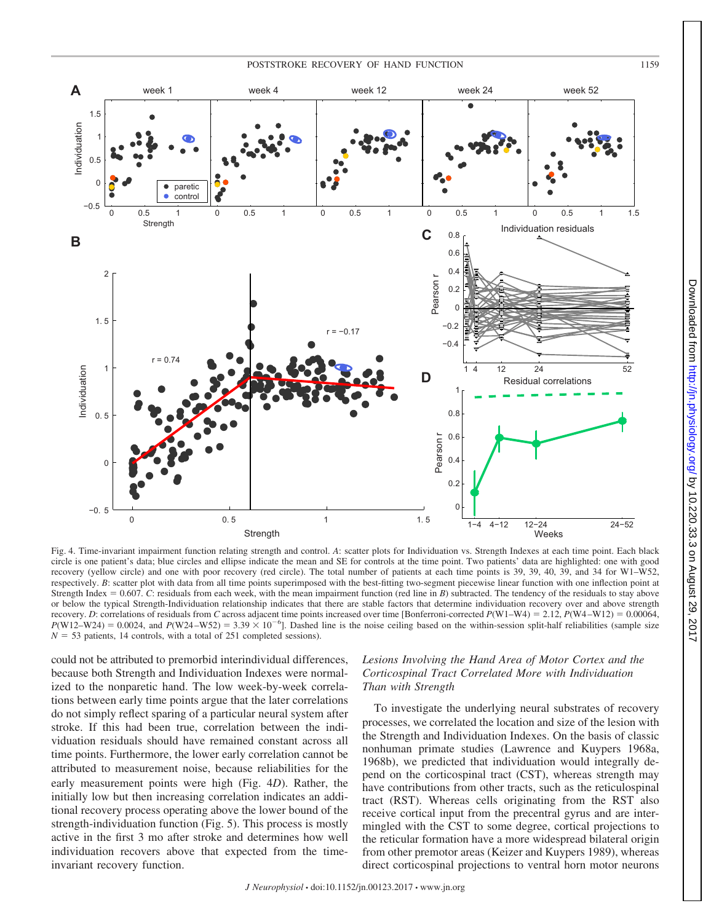

Fig. 4. Time-invariant impairment function relating strength and control. *A*: scatter plots for Individuation vs. Strength Indexes at each time point. Each black circle is one patient's data; blue circles and ellipse indicate the mean and SE for controls at the time point. Two patients' data are highlighted: one with good recovery (yellow circle) and one with poor recovery (red circle). The total number of patients at each time points is 39, 39, 40, 39, and 34 for W1–W52, respectively. *B*: scatter plot with data from all time points superimposed with the best-fitting two-segment piecewise linear function with one inflection point at Strength Index  $= 0.607$ . *C*: residuals from each week, with the mean impairment function (red line in *B*) subtracted. The tendency of the residuals to stay above or below the typical Strength-Individuation relationship indicates that there are stable factors that determine individuation recovery over and above strength recovery. *D*: correlations of residuals from *C* across adjacent time points increased over time [Bonferroni-corrected *P*(W1–W4) = 2.12, *P*(W4–W12) = 0.00064,  $P(W12-W24) = 0.0024$ , and  $P(W24-W52) = 3.39 \times 10^{-6}$ ]. Dashed line is the noise ceiling based on the within-session split-half reliabilities (sample size  $N = 53$  patients, 14 controls, with a total of 251 completed sessions).

could not be attributed to premorbid interindividual differences, because both Strength and Individuation Indexes were normalized to the nonparetic hand. The low week-by-week correlations between early time points argue that the later correlations do not simply reflect sparing of a particular neural system after stroke. If this had been true, correlation between the individuation residuals should have remained constant across all time points. Furthermore, the lower early correlation cannot be attributed to measurement noise, because reliabilities for the early measurement points were high (Fig. 4*D*). Rather, the initially low but then increasing correlation indicates an additional recovery process operating above the lower bound of the strength-individuation function (Fig. 5). This process is mostly active in the first 3 mo after stroke and determines how well individuation recovers above that expected from the timeinvariant recovery function.

## *Lesions Involving the Hand Area of Motor Cortex and the Corticospinal Tract Correlated More with Individuation Than with Strength*

To investigate the underlying neural substrates of recovery processes, we correlated the location and size of the lesion with the Strength and Individuation Indexes. On the basis of classic nonhuman primate studies (Lawrence and Kuypers 1968a, 1968b), we predicted that individuation would integrally depend on the corticospinal tract (CST), whereas strength may have contributions from other tracts, such as the reticulospinal tract (RST). Whereas cells originating from the RST also receive cortical input from the precentral gyrus and are intermingled with the CST to some degree, cortical projections to the reticular formation have a more widespread bilateral origin from other premotor areas (Keizer and Kuypers 1989), whereas direct corticospinal projections to ventral horn motor neurons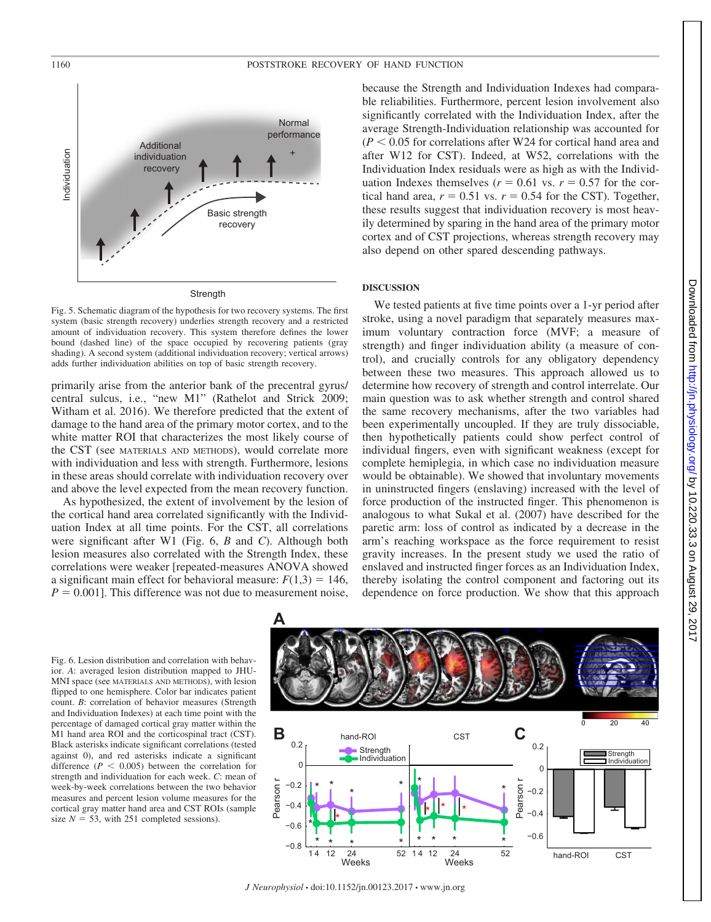

Fig. 5. Schematic diagram of the hypothesis for two recovery systems. The first system (basic strength recovery) underlies strength recovery and a restricted amount of individuation recovery. This system therefore defines the lower bound (dashed line) of the space occupied by recovering patients (gray shading). A second system (additional individuation recovery; vertical arrows) adds further individuation abilities on top of basic strength recovery.

primarily arise from the anterior bank of the precentral gyrus/ central sulcus, i.e., "new M1" (Rathelot and Strick 2009; Witham et al. 2016). We therefore predicted that the extent of damage to the hand area of the primary motor cortex, and to the white matter ROI that characterizes the most likely course of the CST (see MATERIALS AND METHODS), would correlate more with individuation and less with strength. Furthermore, lesions in these areas should correlate with individuation recovery over and above the level expected from the mean recovery function.

As hypothesized, the extent of involvement by the lesion of the cortical hand area correlated significantly with the Individuation Index at all time points. For the CST, all correlations were significant after W1 (Fig. 6, *B* and *C*). Although both lesion measures also correlated with the Strength Index, these correlations were weaker [repeated-measures ANOVA showed a significant main effect for behavioral measure:  $F(1,3) = 146$ ,  $P = 0.001$ . This difference was not due to measurement noise,

because the Strength and Individuation Indexes had comparable reliabilities. Furthermore, percent lesion involvement also significantly correlated with the Individuation Index, after the average Strength-Individuation relationship was accounted for  $(P < 0.05$  for correlations after W24 for cortical hand area and after W12 for CST). Indeed, at W52, correlations with the Individuation Index residuals were as high as with the Individuation Indexes themselves ( $r = 0.61$  vs.  $r = 0.57$  for the cortical hand area,  $r = 0.51$  vs.  $r = 0.54$  for the CST). Together, these results suggest that individuation recovery is most heavily determined by sparing in the hand area of the primary motor cortex and of CST projections, whereas strength recovery may also depend on other spared descending pathways.

## **DISCUSSION**

We tested patients at five time points over a 1-yr period after stroke, using a novel paradigm that separately measures maximum voluntary contraction force (MVF; a measure of strength) and finger individuation ability (a measure of control), and crucially controls for any obligatory dependency between these two measures. This approach allowed us to determine how recovery of strength and control interrelate. Our main question was to ask whether strength and control shared the same recovery mechanisms, after the two variables had been experimentally uncoupled. If they are truly dissociable, then hypothetically patients could show perfect control of individual fingers, even with significant weakness (except for complete hemiplegia, in which case no individuation measure would be obtainable). We showed that involuntary movements in uninstructed fingers (enslaving) increased with the level of force production of the instructed finger. This phenomenon is analogous to what Sukal et al. (2007) have described for the paretic arm: loss of control as indicated by a decrease in the arm's reaching workspace as the force requirement to resist gravity increases. In the present study we used the ratio of enslaved and instructed finger forces as an Individuation Index, thereby isolating the control component and factoring out its dependence on force production. We show that this approach

Fig. 6. Lesion distribution and correlation with behavior. *A*: averaged lesion distribution mapped to JHU-MNI space (see MATERIALS AND METHODS), with lesion flipped to one hemisphere. Color bar indicates patient count. *B*: correlation of behavior measures (Strength and Individuation Indexes) at each time point with the percentage of damaged cortical gray matter within the M1 hand area ROI and the corticospinal tract (CST). Black asterisks indicate significant correlations (tested against 0), and red asterisks indicate a significant difference  $(P < 0.005)$  between the correlation for strength and individuation for each week. *C*: mean of week-by-week correlations between the two behavior measures and percent lesion volume measures for the cortical gray matter hand area and CST ROIs (sample size  $N = 53$ , with 251 completed sessions).



*J Neurophysiol* • doi:10.1152/jn.00123.2017 • www.jn.org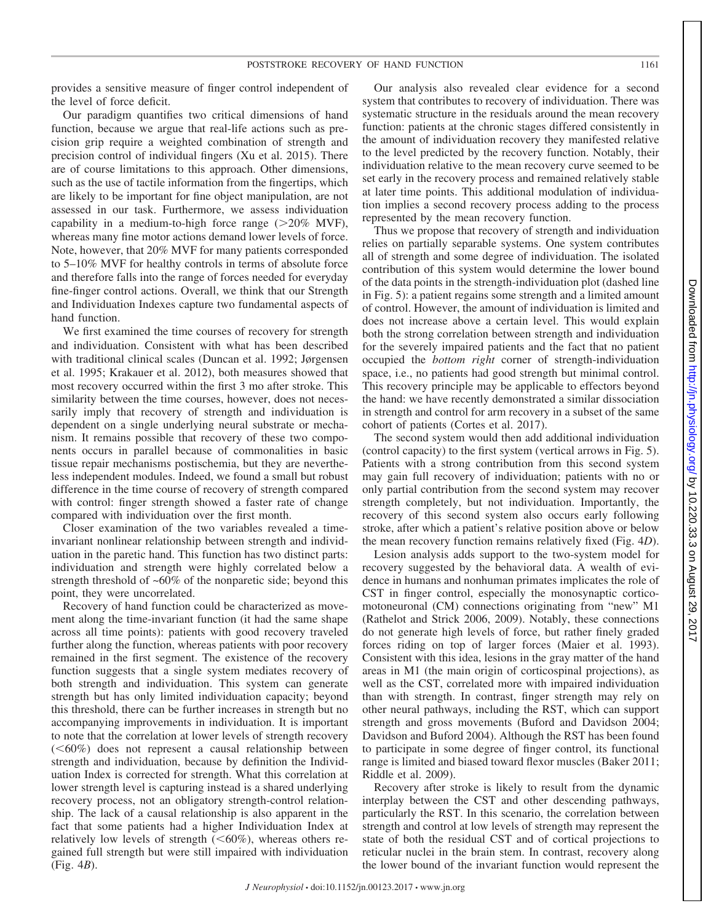provides a sensitive measure of finger control independent of the level of force deficit.

Our paradigm quantifies two critical dimensions of hand function, because we argue that real-life actions such as precision grip require a weighted combination of strength and precision control of individual fingers (Xu et al. 2015). There are of course limitations to this approach. Other dimensions, such as the use of tactile information from the fingertips, which are likely to be important for fine object manipulation, are not assessed in our task. Furthermore, we assess individuation capability in a medium-to-high force range  $(>20\%$  MVF), whereas many fine motor actions demand lower levels of force. Note, however, that 20% MVF for many patients corresponded to 5–10% MVF for healthy controls in terms of absolute force and therefore falls into the range of forces needed for everyday fine-finger control actions. Overall, we think that our Strength and Individuation Indexes capture two fundamental aspects of hand function.

We first examined the time courses of recovery for strength and individuation. Consistent with what has been described with traditional clinical scales (Duncan et al. 1992; Jørgensen et al. 1995; Krakauer et al. 2012), both measures showed that most recovery occurred within the first 3 mo after stroke. This similarity between the time courses, however, does not necessarily imply that recovery of strength and individuation is dependent on a single underlying neural substrate or mechanism. It remains possible that recovery of these two components occurs in parallel because of commonalities in basic tissue repair mechanisms postischemia, but they are nevertheless independent modules. Indeed, we found a small but robust difference in the time course of recovery of strength compared with control: finger strength showed a faster rate of change compared with individuation over the first month.

Closer examination of the two variables revealed a timeinvariant nonlinear relationship between strength and individuation in the paretic hand. This function has two distinct parts: individuation and strength were highly correlated below a strength threshold of ~60% of the nonparetic side; beyond this point, they were uncorrelated.

Recovery of hand function could be characterized as movement along the time-invariant function (it had the same shape across all time points): patients with good recovery traveled further along the function, whereas patients with poor recovery remained in the first segment. The existence of the recovery function suggests that a single system mediates recovery of both strength and individuation. This system can generate strength but has only limited individuation capacity; beyond this threshold, there can be further increases in strength but no accompanying improvements in individuation. It is important to note that the correlation at lower levels of strength recovery  $(<60\%)$  does not represent a causal relationship between strength and individuation, because by definition the Individuation Index is corrected for strength. What this correlation at lower strength level is capturing instead is a shared underlying recovery process, not an obligatory strength-control relationship. The lack of a causal relationship is also apparent in the fact that some patients had a higher Individuation Index at relatively low levels of strength  $(<60\%)$ , whereas others regained full strength but were still impaired with individuation (Fig. 4*B*).

Our analysis also revealed clear evidence for a second system that contributes to recovery of individuation. There was systematic structure in the residuals around the mean recovery function: patients at the chronic stages differed consistently in the amount of individuation recovery they manifested relative to the level predicted by the recovery function. Notably, their individuation relative to the mean recovery curve seemed to be set early in the recovery process and remained relatively stable at later time points. This additional modulation of individuation implies a second recovery process adding to the process represented by the mean recovery function.

Thus we propose that recovery of strength and individuation relies on partially separable systems. One system contributes all of strength and some degree of individuation. The isolated contribution of this system would determine the lower bound of the data points in the strength-individuation plot (dashed line in Fig. 5): a patient regains some strength and a limited amount of control. However, the amount of individuation is limited and does not increase above a certain level. This would explain both the strong correlation between strength and individuation for the severely impaired patients and the fact that no patient occupied the *bottom right* corner of strength-individuation space, i.e., no patients had good strength but minimal control. This recovery principle may be applicable to effectors beyond the hand: we have recently demonstrated a similar dissociation in strength and control for arm recovery in a subset of the same cohort of patients (Cortes et al. 2017).

The second system would then add additional individuation (control capacity) to the first system (vertical arrows in Fig. 5). Patients with a strong contribution from this second system may gain full recovery of individuation; patients with no or only partial contribution from the second system may recover strength completely, but not individuation. Importantly, the recovery of this second system also occurs early following stroke, after which a patient's relative position above or below the mean recovery function remains relatively fixed (Fig. 4*D*).

Lesion analysis adds support to the two-system model for recovery suggested by the behavioral data. A wealth of evidence in humans and nonhuman primates implicates the role of CST in finger control, especially the monosynaptic corticomotoneuronal (CM) connections originating from "new" M1 (Rathelot and Strick 2006, 2009). Notably, these connections do not generate high levels of force, but rather finely graded forces riding on top of larger forces (Maier et al. 1993). Consistent with this idea, lesions in the gray matter of the hand areas in M1 (the main origin of corticospinal projections), as well as the CST, correlated more with impaired individuation than with strength. In contrast, finger strength may rely on other neural pathways, including the RST, which can support strength and gross movements (Buford and Davidson 2004; Davidson and Buford 2004). Although the RST has been found to participate in some degree of finger control, its functional range is limited and biased toward flexor muscles (Baker 2011; Riddle et al. 2009).

Recovery after stroke is likely to result from the dynamic interplay between the CST and other descending pathways, particularly the RST. In this scenario, the correlation between strength and control at low levels of strength may represent the state of both the residual CST and of cortical projections to reticular nuclei in the brain stem. In contrast, recovery along the lower bound of the invariant function would represent the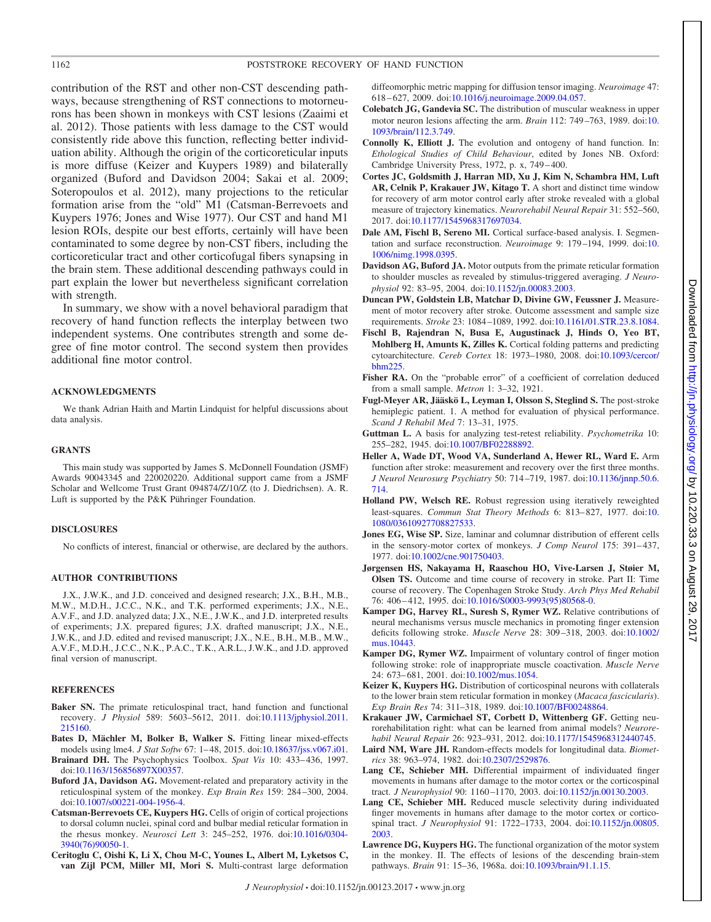contribution of the RST and other non-CST descending pathways, because strengthening of RST connections to motorneurons has been shown in monkeys with CST lesions (Zaaimi et al. 2012). Those patients with less damage to the CST would consistently ride above this function, reflecting better individuation ability. Although the origin of the corticoreticular inputs is more diffuse (Keizer and Kuypers 1989) and bilaterally organized (Buford and Davidson 2004; Sakai et al. 2009; Soteropoulos et al. 2012), many projections to the reticular formation arise from the "old" M1 (Catsman-Berrevoets and Kuypers 1976; Jones and Wise 1977). Our CST and hand M1 lesion ROIs, despite our best efforts, certainly will have been contaminated to some degree by non-CST fibers, including the corticoreticular tract and other corticofugal fibers synapsing in the brain stem. These additional descending pathways could in part explain the lower but nevertheless significant correlation with strength.

In summary, we show with a novel behavioral paradigm that recovery of hand function reflects the interplay between two independent systems. One contributes strength and some degree of fine motor control. The second system then provides additional fine motor control.

## **ACKNOWLEDGMENTS**

We thank Adrian Haith and Martin Lindquist for helpful discussions about data analysis.

## **GRANTS**

This main study was supported by James S. McDonnell Foundation (JSMF) Awards 90043345 and 220020220. Additional support came from a JSMF Scholar and Wellcome Trust Grant 094874/Z/10/Z (to J. Diedrichsen). A. R. Luft is supported by the P&K Pühringer Foundation.

## **DISCLOSURES**

No conflicts of interest, financial or otherwise, are declared by the authors.

## **AUTHOR CONTRIBUTIONS**

J.X., J.W.K., and J.D. conceived and designed research; J.X., B.H., M.B., M.W., M.D.H., J.C.C., N.K., and T.K. performed experiments; J.X., N.E., A.V.F., and J.D. analyzed data; J.X., N.E., J.W.K., and J.D. interpreted results of experiments; J.X. prepared figures; J.X. drafted manuscript; J.X., N.E., J.W.K., and J.D. edited and revised manuscript; J.X., N.E., B.H., M.B., M.W., A.V.F., M.D.H., J.C.C., N.K., P.A.C., T.K., A.R.L., J.W.K., and J.D. approved final version of manuscript.

#### **REFERENCES**

- Baker SN. The primate reticulospinal tract, hand function and functional recovery. *J Physiol* 589: 5603–5612, 2011. doi[:10.1113/jphysiol.2011.](https://doi.org/10.1113/jphysiol.2011.215160) [215160.](https://doi.org/10.1113/jphysiol.2011.215160)
- **Bates D, Mächler M, Bolker B, Walker S.** Fitting linear mixed-effects models using lme4. *J Stat Softw* 67: 1– 48, 2015. doi[:10.18637/jss.v067.i01.](https://doi.org/10.18637/jss.v067.i01)
- **Brainard DH.** The Psychophysics Toolbox. *Spat Vis* 10: 433– 436, 1997. doi[:10.1163/156856897X00357.](https://doi.org/10.1163/156856897X00357)
- **Buford JA, Davidson AG.** Movement-related and preparatory activity in the reticulospinal system of the monkey. *Exp Brain Res* 159: 284 –300, 2004. doi[:10.1007/s00221-004-1956-4.](https://doi.org/10.1007/s00221-004-1956-4)
- **Catsman-Berrevoets CE, Kuypers HG.** Cells of origin of cortical projections to dorsal column nuclei, spinal cord and bulbar medial reticular formation in the rhesus monkey. *Neurosci Lett* 3: 245–252, 1976. doi[:10.1016/0304-](https://doi.org/10.1016/0304-3940(76)90050-1) [3940\(76\)90050-1.](https://doi.org/10.1016/0304-3940(76)90050-1)
- **Ceritoglu C, Oishi K, Li X, Chou M-C, Younes L, Albert M, Lyketsos C, van Zijl PCM, Miller MI, Mori S.** Multi-contrast large deformation

diffeomorphic metric mapping for diffusion tensor imaging. *Neuroimage* 47: 618 – 627, 2009. doi[:10.1016/j.neuroimage.2009.04.057.](https://doi.org/10.1016/j.neuroimage.2009.04.057)

- **Colebatch JG, Gandevia SC.** The distribution of muscular weakness in upper motor neuron lesions affecting the arm. *Brain* 112: 749 –763, 1989. doi[:10.](https://doi.org/10.1093/brain/112.3.749) [1093/brain/112.3.749.](https://doi.org/10.1093/brain/112.3.749)
- **Connolly K, Elliott J.** The evolution and ontogeny of hand function. In: *Ethological Studies of Child Behaviour*, edited by Jones NB. Oxford: Cambridge University Press, 1972, p. x, 749-400.
- **Cortes JC, Goldsmith J, Harran MD, Xu J, Kim N, Schambra HM, Luft AR, Celnik P, Krakauer JW, Kitago T.** A short and distinct time window for recovery of arm motor control early after stroke revealed with a global measure of trajectory kinematics. *Neurorehabil Neural Repair* 31: 552–560, 2017. doi[:10.1177/1545968317697034.](https://doi.org/10.1177/1545968317697034)
- **Dale AM, Fischl B, Sereno MI.** Cortical surface-based analysis. I. Segmentation and surface reconstruction. *Neuroimage* 9: 179 –194, 1999. doi[:10.](https://doi.org/10.1006/nimg.1998.0395) [1006/nimg.1998.0395.](https://doi.org/10.1006/nimg.1998.0395)
- **Davidson AG, Buford JA.** Motor outputs from the primate reticular formation to shoulder muscles as revealed by stimulus-triggered averaging. *J Neurophysiol* 92: 83–95, 2004. doi[:10.1152/jn.00083.2003.](https://doi.org/10.1152/jn.00083.2003)
- **Duncan PW, Goldstein LB, Matchar D, Divine GW, Feussner J.** Measurement of motor recovery after stroke. Outcome assessment and sample size requirements. *Stroke* 23: 1084 –1089, 1992. doi[:10.1161/01.STR.23.8.1084.](https://doi.org/10.1161/01.STR.23.8.1084)
- **Fischl B, Rajendran N, Busa E, Augustinack J, Hinds O, Yeo BT, Mohlberg H, Amunts K, Zilles K.** Cortical folding patterns and predicting cytoarchitecture. *Cereb Cortex* 18: 1973–1980, 2008. doi[:10.1093/cercor/](https://doi.org/10.1093/cercor/bhm225) [bhm225.](https://doi.org/10.1093/cercor/bhm225)
- Fisher RA. On the "probable error" of a coefficient of correlation deduced from a small sample. *Metron* 1: 3–32, 1921.
- **Fugl-Meyer AR, Jääskö L, Leyman I, Olsson S, Steglind S.** The post-stroke hemiplegic patient. 1. A method for evaluation of physical performance. *Scand J Rehabil Med* 7: 13–31, 1975.
- **Guttman L.** A basis for analyzing test-retest reliability. *Psychometrika* 10: 255–282, 1945. doi[:10.1007/BF02288892.](https://doi.org/10.1007/BF02288892)
- **Heller A, Wade DT, Wood VA, Sunderland A, Hewer RL, Ward E.** Arm function after stroke: measurement and recovery over the first three months. *J Neurol Neurosurg Psychiatry* 50: 714 –719, 1987. doi[:10.1136/jnnp.50.6.](https://doi.org/10.1136/jnnp.50.6.714) [714.](https://doi.org/10.1136/jnnp.50.6.714)
- **Holland PW, Welsch RE.** Robust regression using iteratively reweighted least-squares. *Commun Stat Theory Methods* 6: 813– 827, 1977. doi[:10.](https://doi.org/10.1080/03610927708827533) [1080/03610927708827533.](https://doi.org/10.1080/03610927708827533)
- **Jones EG, Wise SP.** Size, laminar and columnar distribution of efferent cells in the sensory-motor cortex of monkeys. *J Comp Neurol* 175: 391-437, 1977. doi[:10.1002/cne.901750403.](https://doi.org/10.1002/cne.901750403)
- **Jørgensen HS, Nakayama H, Raaschou HO, Vive-Larsen J, Støier M, Olsen TS.** Outcome and time course of recovery in stroke. Part II: Time course of recovery. The Copenhagen Stroke Study. *Arch Phys Med Rehabil* 76: 406 – 412, 1995. doi[:10.1016/S0003-9993\(95\)80568-0.](https://doi.org/10.1016/S0003-9993(95)80568-0)
- **Kamper DG, Harvey RL, Suresh S, Rymer WZ.** Relative contributions of neural mechanisms versus muscle mechanics in promoting finger extension deficits following stroke. *Muscle Nerve* 28: 309 –318, 2003. doi[:10.1002/](https://doi.org/10.1002/mus.10443) [mus.10443.](https://doi.org/10.1002/mus.10443)
- **Kamper DG, Rymer WZ.** Impairment of voluntary control of finger motion following stroke: role of inappropriate muscle coactivation. *Muscle Nerve* 24: 673– 681, 2001. doi[:10.1002/mus.1054.](https://doi.org/10.1002/mus.1054)
- **Keizer K, Kuypers HG.** Distribution of corticospinal neurons with collaterals to the lower brain stem reticular formation in monkey (*Macaca fascicularis*). *Exp Brain Res* 74: 311–318, 1989. doi[:10.1007/BF00248864.](https://doi.org/10.1007/BF00248864)
- **Krakauer JW, Carmichael ST, Corbett D, Wittenberg GF.** Getting neurorehabilitation right: what can be learned from animal models? *Neurorehabil Neural Repair* 26: 923–931, 2012. doi[:10.1177/1545968312440745.](https://doi.org/10.1177/1545968312440745)
- **Laird NM, Ware JH.** Random-effects models for longitudinal data. *Biometrics* 38: 963–974, 1982. doi[:10.2307/2529876.](https://doi.org/10.2307/2529876)
- **Lang CE, Schieber MH.** Differential impairment of individuated finger movements in humans after damage to the motor cortex or the corticospinal tract. *J Neurophysiol* 90: 1160 –1170, 2003. doi[:10.1152/jn.00130.2003.](https://doi.org/10.1152/jn.00130.2003)
- **Lang CE, Schieber MH.** Reduced muscle selectivity during individuated finger movements in humans after damage to the motor cortex or corticospinal tract. *J Neurophysiol* 91: 1722–1733, 2004. doi[:10.1152/jn.00805.](https://doi.org/10.1152/jn.00805.2003) [2003.](https://doi.org/10.1152/jn.00805.2003)
- **Lawrence DG, Kuypers HG.** The functional organization of the motor system in the monkey. II. The effects of lesions of the descending brain-stem pathways. *Brain* 91: 15–36, 1968a. doi[:10.1093/brain/91.1.15.](https://doi.org/10.1093/brain/91.1.15)